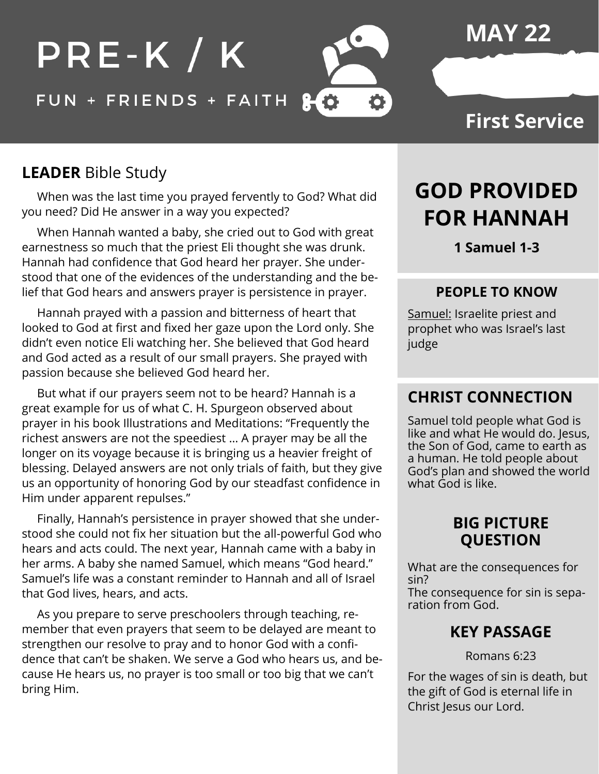

## **MAY 22**

## **First Service**

## **LEADER** Bible Study

 When was the last time you prayed fervently to God? What did you need? Did He answer in a way you expected?

 When Hannah wanted a baby, she cried out to God with great earnestness so much that the priest Eli thought she was drunk. Hannah had confidence that God heard her prayer. She understood that one of the evidences of the understanding and the belief that God hears and answers prayer is persistence in prayer.

 Hannah prayed with a passion and bitterness of heart that looked to God at first and fixed her gaze upon the Lord only. She didn't even notice Eli watching her. She believed that God heard and God acted as a result of our small prayers. She prayed with passion because she believed God heard her.

 But what if our prayers seem not to be heard? Hannah is a great example for us of what C. H. Spurgeon observed about prayer in his book Illustrations and Meditations: "Frequently the richest answers are not the speediest … A prayer may be all the longer on its voyage because it is bringing us a heavier freight of blessing. Delayed answers are not only trials of faith, but they give us an opportunity of honoring God by our steadfast confidence in Him under apparent repulses."

 Finally, Hannah's persistence in prayer showed that she understood she could not fix her situation but the all-powerful God who hears and acts could. The next year, Hannah came with a baby in her arms. A baby she named Samuel, which means "God heard." Samuel's life was a constant reminder to Hannah and all of Israel that God lives, hears, and acts.

 As you prepare to serve preschoolers through teaching, remember that even prayers that seem to be delayed are meant to strengthen our resolve to pray and to honor God with a confidence that can't be shaken. We serve a God who hears us, and because He hears us, no prayer is too small or too big that we can't bring Him.

# **GOD PROVIDED FOR HANNAH**

**1 Samuel 1-3**

#### **PEOPLE TO KNOW**

Samuel: Israelite priest and prophet who was Israel's last judge

### **CHRIST CONNECTION**

Samuel told people what God is like and what He would do. Jesus, the Son of God, came to earth as a human. He told people about God's plan and showed the world what God is like.

#### **BIG PICTURE QUESTION**

What are the consequences for sin? The consequence for sin is separation from God.

### **KEY PASSAGE**

Romans 6:23

For the wages of sin is death, but the gift of God is eternal life in Christ Jesus our Lord.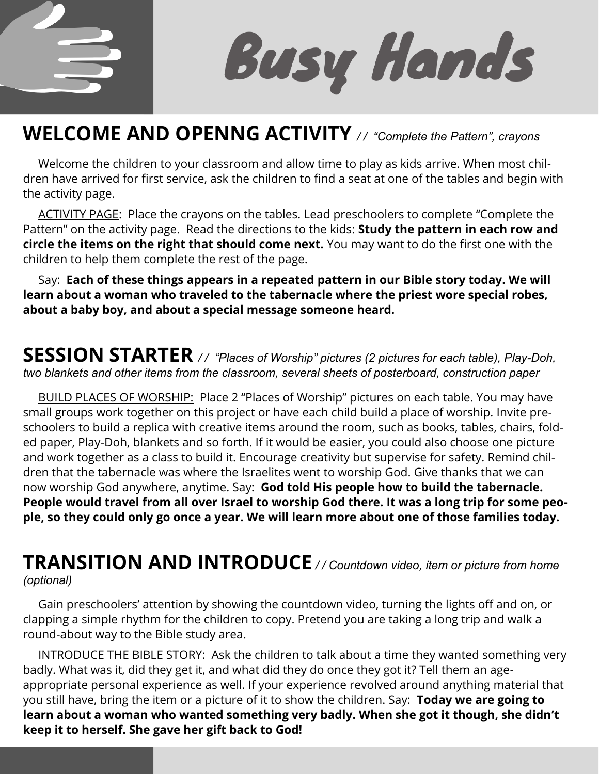

**Busy Hands** 

## **WELCOME AND OPENNG ACTIVITY** */ / "Complete the Pattern", crayons*

 Welcome the children to your classroom and allow time to play as kids arrive. When most children have arrived for first service, ask the children to find a seat at one of the tables and begin with the activity page.

ACTIVITY PAGE: Place the crayons on the tables. Lead preschoolers to complete "Complete the Pattern" on the activity page. Read the directions to the kids: **Study the pattern in each row and circle the items on the right that should come next.** You may want to do the first one with the children to help them complete the rest of the page.

 Say: **Each of these things appears in a repeated pattern in our Bible story today. We will learn about a woman who traveled to the tabernacle where the priest wore special robes, about a baby boy, and about a special message someone heard.** 

#### **SESSION STARTER** */ / "Places of Worship" pictures (2 pictures for each table), Play-Doh, two blankets and other items from the classroom, several sheets of posterboard, construction paper*

 BUILD PLACES OF WORSHIP: Place 2 "Places of Worship" pictures on each table. You may have small groups work together on this project or have each child build a place of worship. Invite preschoolers to build a replica with creative items around the room, such as books, tables, chairs, folded paper, Play-Doh, blankets and so forth. If it would be easier, you could also choose one picture and work together as a class to build it. Encourage creativity but supervise for safety. Remind children that the tabernacle was where the Israelites went to worship God. Give thanks that we can now worship God anywhere, anytime. Say: **God told His people how to build the tabernacle. People would travel from all over Israel to worship God there. It was a long trip for some people, so they could only go once a year. We will learn more about one of those families today.** 

### **TRANSITION AND INTRODUCE** */ / Countdown video, item or picture from home (optional)*

 Gain preschoolers' attention by showing the countdown video, turning the lights off and on, or clapping a simple rhythm for the children to copy. Pretend you are taking a long trip and walk a round-about way to the Bible study area.

 INTRODUCE THE BIBLE STORY: Ask the children to talk about a time they wanted something very badly. What was it, did they get it, and what did they do once they got it? Tell them an ageappropriate personal experience as well. If your experience revolved around anything material that you still have, bring the item or a picture of it to show the children. Say: **Today we are going to learn about a woman who wanted something very badly. When she got it though, she didn't keep it to herself. She gave her gift back to God!**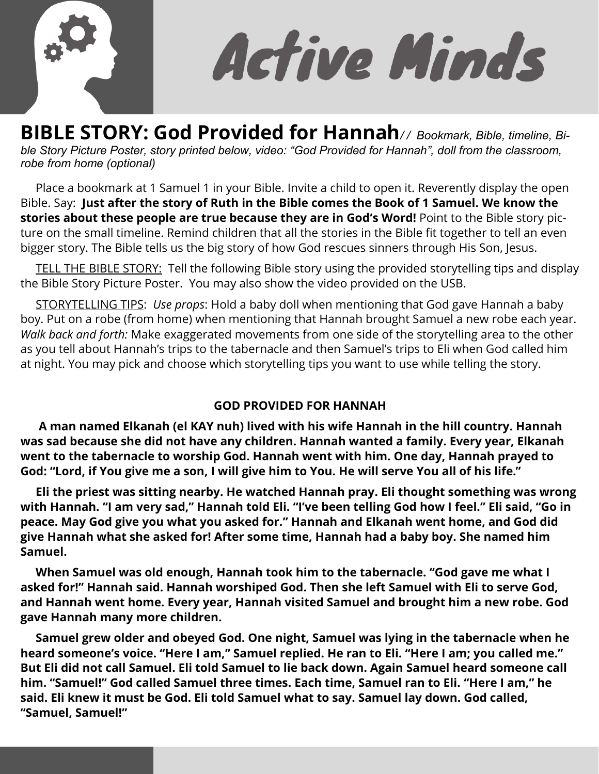

Active Minds

**BIBLE STORY: God Provided for Hannah***/ / Bookmark, Bible, timeline, Bible Story Picture Poster, story printed below, video: "God Provided for Hannah", doll from the classroom, robe from home (optional)*

 Place a bookmark at 1 Samuel 1 in your Bible. Invite a child to open it. Reverently display the open Bible. Say: **Just after the story of Ruth in the Bible comes the Book of 1 Samuel. We know the stories about these people are true because they are in God's Word!** Point to the Bible story picture on the small timeline. Remind children that all the stories in the Bible fit together to tell an even bigger story. The Bible tells us the big story of how God rescues sinners through His Son, Jesus.

TELL THE BIBLE STORY: Tell the following Bible story using the provided storytelling tips and display the Bible Story Picture Poster. You may also show the video provided on the USB.

 STORYTELLING TIPS: *Use props*: Hold a baby doll when mentioning that God gave Hannah a baby boy. Put on a robe (from home) when mentioning that Hannah brought Samuel a new robe each year. *Walk back and forth:* Make exaggerated movements from one side of the storytelling area to the other as you tell about Hannah's trips to the tabernacle and then Samuel's trips to Eli when God called him at night. You may pick and choose which storytelling tips you want to use while telling the story.

#### **GOD PROVIDED FOR HANNAH**

 **A man named Elkanah (el KAY nuh) lived with his wife Hannah in the hill country. Hannah was sad because she did not have any children. Hannah wanted a family. Every year, Elkanah went to the tabernacle to worship God. Hannah went with him. One day, Hannah prayed to God: "Lord, if You give me a son, I will give him to You. He will serve You all of his life."** 

 **Eli the priest was sitting nearby. He watched Hannah pray. Eli thought something was wrong with Hannah. "I am very sad," Hannah told Eli. "I've been telling God how I feel." Eli said, "Go in peace. May God give you what you asked for." Hannah and Elkanah went home, and God did give Hannah what she asked for! After some time, Hannah had a baby boy. She named him Samuel.** 

 **When Samuel was old enough, Hannah took him to the tabernacle. "God gave me what I asked for!" Hannah said. Hannah worshiped God. Then she left Samuel with Eli to serve God, and Hannah went home. Every year, Hannah visited Samuel and brought him a new robe. God gave Hannah many more children.** 

 **Samuel grew older and obeyed God. One night, Samuel was lying in the tabernacle when he heard someone's voice. "Here I am," Samuel replied. He ran to Eli. "Here I am; you called me." But Eli did not call Samuel. Eli told Samuel to lie back down. Again Samuel heard someone call him. "Samuel!" God called Samuel three times. Each time, Samuel ran to Eli. "Here I am," he said. Eli knew it must be God. Eli told Samuel what to say. Samuel lay down. God called, "Samuel, Samuel!"**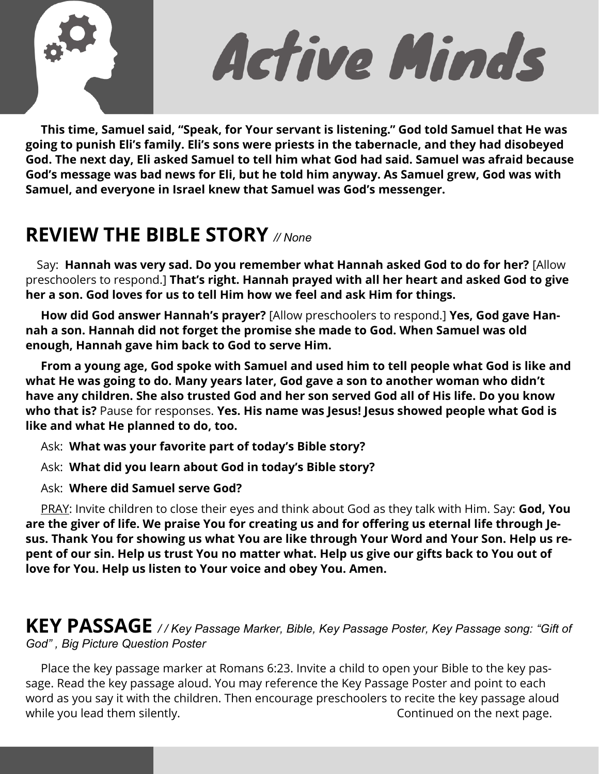

Active Minds

 **This time, Samuel said, "Speak, for Your servant is listening." God told Samuel that He was going to punish Eli's family. Eli's sons were priests in the tabernacle, and they had disobeyed God. The next day, Eli asked Samuel to tell him what God had said. Samuel was afraid because God's message was bad news for Eli, but he told him anyway. As Samuel grew, God was with Samuel, and everyone in Israel knew that Samuel was God's messenger.** 

## **REVIEW THE BIBLE STORY** *// None*

 Say: **Hannah was very sad. Do you remember what Hannah asked God to do for her?** [Allow preschoolers to respond.] **That's right. Hannah prayed with all her heart and asked God to give her a son. God loves for us to tell Him how we feel and ask Him for things.** 

 **How did God answer Hannah's prayer?** [Allow preschoolers to respond.] **Yes, God gave Hannah a son. Hannah did not forget the promise she made to God. When Samuel was old enough, Hannah gave him back to God to serve Him.** 

 **From a young age, God spoke with Samuel and used him to tell people what God is like and what He was going to do. Many years later, God gave a son to another woman who didn't have any children. She also trusted God and her son served God all of His life. Do you know who that is?** Pause for responses. **Yes. His name was Jesus! Jesus showed people what God is like and what He planned to do, too.** 

Ask: **What was your favorite part of today's Bible story?** 

Ask: **What did you learn about God in today's Bible story?** 

Ask: **Where did Samuel serve God?** 

 PRAY: Invite children to close their eyes and think about God as they talk with Him. Say: **God, You are the giver of life. We praise You for creating us and for offering us eternal life through Jesus. Thank You for showing us what You are like through Your Word and Your Son. Help us repent of our sin. Help us trust You no matter what. Help us give our gifts back to You out of love for You. Help us listen to Your voice and obey You. Amen.** 

**KEY PASSAGE** */ / Key Passage Marker, Bible, Key Passage Poster, Key Passage song: "Gift of God" , Big Picture Question Poster* 

 Place the key passage marker at Romans 6:23. Invite a child to open your Bible to the key passage. Read the key passage aloud. You may reference the Key Passage Poster and point to each word as you say it with the children. Then encourage preschoolers to recite the key passage aloud while you lead them silently. The same state of the next page.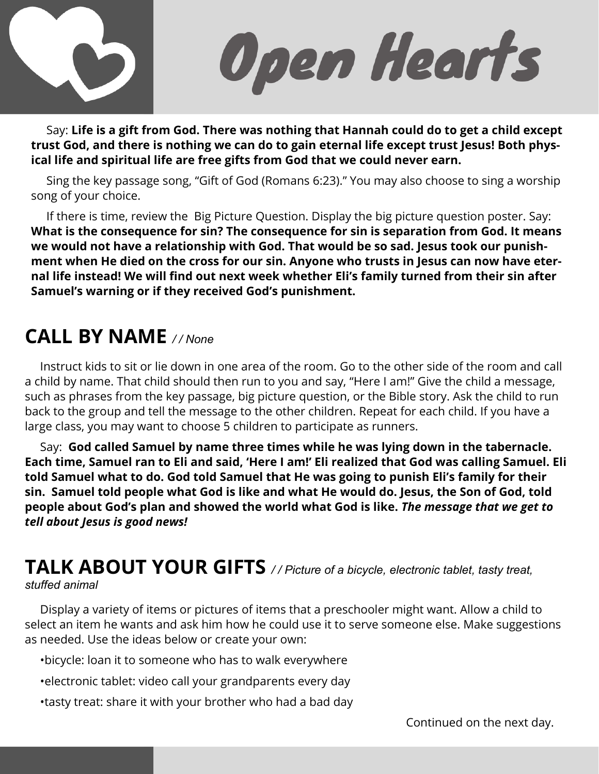

Open Hearts

 Say: **Life is a gift from God. There was nothing that Hannah could do to get a child except trust God, and there is nothing we can do to gain eternal life except trust Jesus! Both physical life and spiritual life are free gifts from God that we could never earn.**

Sing the key passage song, "Gift of God (Romans 6:23)." You may also choose to sing a worship song of your choice.

If there is time, review the Big Picture Question. Display the big picture question poster. Say: **What is the consequence for sin? The consequence for sin is separation from God. It means we would not have a relationship with God. That would be so sad. Jesus took our punishment when He died on the cross for our sin. Anyone who trusts in Jesus can now have eternal life instead! We will find out next week whether Eli's family turned from their sin after Samuel's warning or if they received God's punishment.** 

## **CALL BY NAME** */ / None*

 Instruct kids to sit or lie down in one area of the room. Go to the other side of the room and call a child by name. That child should then run to you and say, "Here I am!" Give the child a message, such as phrases from the key passage, big picture question, or the Bible story. Ask the child to run back to the group and tell the message to the other children. Repeat for each child. If you have a large class, you may want to choose 5 children to participate as runners.

 Say: **God called Samuel by name three times while he was lying down in the tabernacle. Each time, Samuel ran to Eli and said, 'Here I am!' Eli realized that God was calling Samuel. Eli told Samuel what to do. God told Samuel that He was going to punish Eli's family for their sin. Samuel told people what God is like and what He would do. Jesus, the Son of God, told people about God's plan and showed the world what God is like.** *The message that we get to tell about Jesus is good news!* 

#### **TALK ABOUT YOUR GIFTS** */ / Picture of a bicycle, electronic tablet, tasty treat, stuffed animal*

 Display a variety of items or pictures of items that a preschooler might want. Allow a child to select an item he wants and ask him how he could use it to serve someone else. Make suggestions as needed. Use the ideas below or create your own:

- •bicycle: loan it to someone who has to walk everywhere
- •electronic tablet: video call your grandparents every day
- •tasty treat: share it with your brother who had a bad day

Continued on the next day.